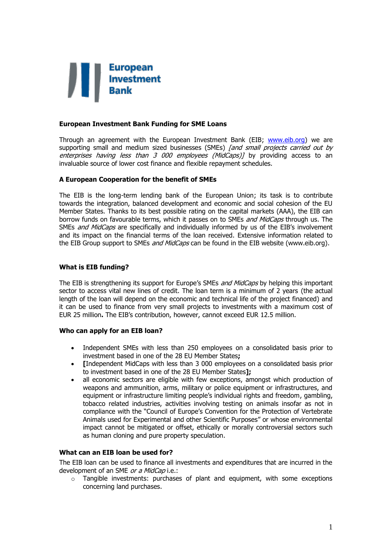

## **European Investment Bank Funding for SME Loans**

Through an agreement with the European Investment Bank (EIB; [www.eib.org\)](http://www.eib.org/) we are supporting small and medium sized businesses (SMEs) *[and small projects carried out by* enterprises having less than 3 000 employees (MidCaps)] by providing access to an invaluable source of lower cost finance and flexible repayment schedules.

## **A European Cooperation for the benefit of SMEs**

The EIB is the long-term lending bank of the European Union; its task is to contribute towards the integration, balanced development and economic and social cohesion of the EU Member States. Thanks to its best possible rating on the capital markets (AAA), the EIB can borrow funds on favourable terms, which it passes on to SMEs and MidCaps through us. The SMEs and MidCaps are specifically and individually informed by us of the EIB's involvement and its impact on the financial terms of the loan received. Extensive information related to the EIB Group support to SMEs *and MidCaps* can be found in the EIB website (www.eib.org).

## **What is EIB funding?**

The EIB is strengthening its support for Europe's SMEs *and MidCaps* by helping this important sector to access vital new lines of credit. The loan term is a minimum of 2 years (the actual length of the loan will depend on the economic and technical life of the project financed) and it can be used to finance from very small projects to investments with a maximum cost of EUR 25 million**.** The EIB's contribution, however, cannot exceed EUR 12.5 million.

#### **Who can apply for an EIB loan?**

- Independent SMEs with less than 250 employees on a consolidated basis prior to investment based in one of the 28 EU Member States**;**
- **[**Independent MidCaps with less than 3 000 employees on a consolidated basis prior to investment based in one of the 28 EU Member States**];**
- all economic sectors are eligible with few exceptions, amongst which production of weapons and ammunition, arms, military or police equipment or infrastructures, and equipment or infrastructure limiting people's individual rights and freedom, gambling, tobacco related industries, activities involving testing on animals insofar as not in compliance with the "Council of Europe's Convention for the Protection of Vertebrate Animals used for Experimental and other Scientific Purposes" or whose environmental impact cannot be mitigated or offset, ethically or morally controversial sectors such as human cloning and pure property speculation.

#### **What can an EIB loan be used for?**

The EIB loan can be used to finance all investments and expenditures that are incurred in the development of an SME or a MidCap i.e.:

 $\circ$  Tangible investments: purchases of plant and equipment, with some exceptions concerning land purchases.